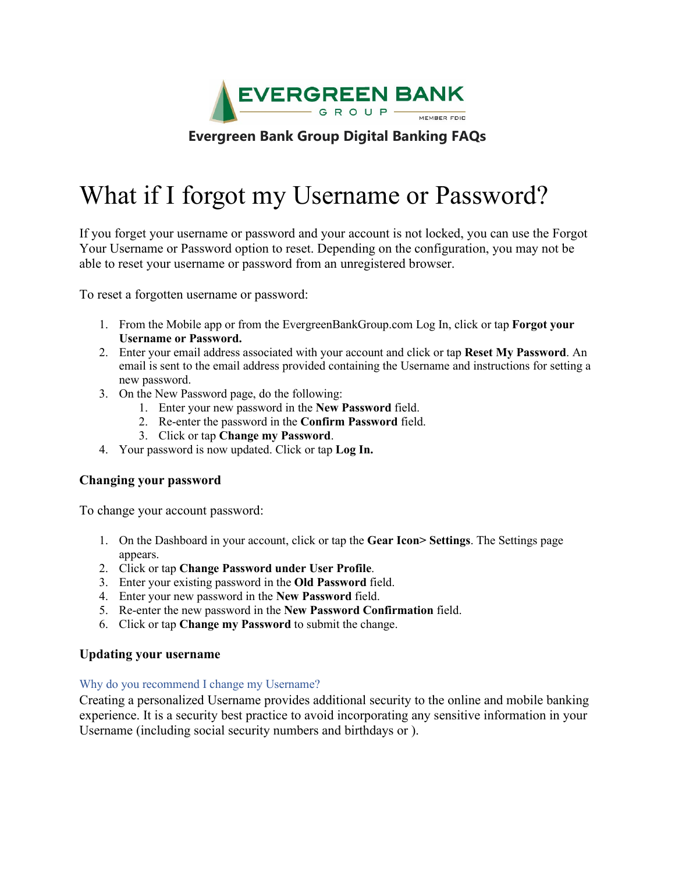

# **Evergreen Bank Group Digital Banking FAQs**

# What if I forgot my Username or Password?

If you forget your username or password and your account is not locked, you can use the Forgot Your Username or Password option to reset. Depending on the configuration, you may not be able to reset your username or password from an unregistered browser.

To reset a forgotten username or password:

- 1. From the Mobile app or from the EvergreenBankGroup.com Log In, click or tap **Forgot your Username or Password.**
- 2. Enter your email address associated with your account and click or tap **Reset My Password**. An email is sent to the email address provided containing the Username and instructions for setting a new password.
- 3. On the New Password page, do the following:
	- 1. Enter your new password in the **New Password** field.
	- 2. Re-enter the password in the **Confirm Password** field.
	- 3. Click or tap **Change my Password**.
- 4. Your password is now updated. Click or tap **Log In.**

# **Changing your password**

To change your account password:

- 1. On the Dashboard in your account, click or tap the **Gear Icon> Settings**. The Settings page appears.
- 2. Click or tap **Change Password under User Profile**.
- 3. Enter your existing password in the **Old Password** field.
- 4. Enter your new password in the **New Password** field.
- 5. Re-enter the new password in the **New Password Confirmation** field.
- 6. Click or tap **Change my Password** to submit the change.

# **Updating your username**

#### Why do you recommend I change my Username?

Creating a personalized Username provides additional security to the online and mobile banking experience. It is a security best practice to avoid incorporating any sensitive information in your Username (including social security numbers and birthdays or ).